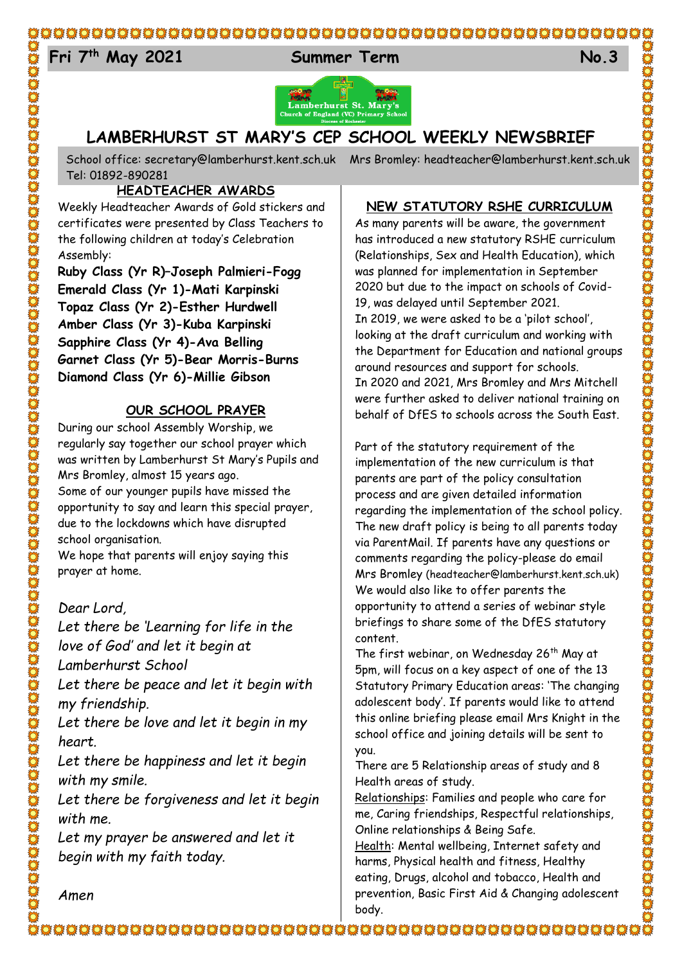### 

## 24 **Fri 7 th May 2021 Summer Term No.3**



## **LAMBERHURST ST MARY'S CEP SCHOOL WEEKLY NEWSBRIEF**

School office: [secretary@lamberhurst.kent.sch.uk](mailto:secretary@lamberhurst.kent.sch.uk) Mrs Bromley: headteacher@lamberhurst.kent.sch.uk Tel: 01892-890281

### **HEADTEACHER AWARDS**

Weekly Headteacher Awards of Gold stickers and certificates were presented by Class Teachers to the following children at today's Celebration Assembly:

**Ruby Class (Yr R)–Joseph Palmieri-Fogg Emerald Class (Yr 1)-Mati Karpinski Topaz Class (Yr 2)-Esther Hurdwell Amber Class (Yr 3)-Kuba Karpinski Sapphire Class (Yr 4)-Ava Belling Garnet Class (Yr 5)-Bear Morris-Burns Diamond Class (Yr 6)-Millie Gibson**

### **OUR SCHOOL PRAYER**

During our school Assembly Worship, we regularly say together our school prayer which was written by Lamberhurst St Mary's Pupils and Mrs Bromley, almost 15 years ago. Some of our younger pupils have missed the opportunity to say and learn this special prayer, due to the lockdowns which have disrupted school organisation.

We hope that parents will enjoy saying this prayer at home.

### *Dear Lord,*

*Let there be 'Learning for life in the love of God' and let it begin at Lamberhurst School*

*Let there be peace and let it begin with my friendship.*

*Let there be love and let it begin in my heart.*

*Let there be happiness and let it begin with my smile.*

*Let there be forgiveness and let it begin with me.*

*Let my prayer be answered and let it begin with my faith today.*

### **NEW STATUTORY RSHE CURRICULUM**

As many parents will be aware, the government has introduced a new statutory RSHE curriculum (Relationships, Sex and Health Education), which was planned for implementation in September 2020 but due to the impact on schools of Covid-19, was delayed until September 2021. In 2019, we were asked to be a 'pilot school', looking at the draft curriculum and working with the Department for Education and national groups around resources and support for schools. In 2020 and 2021, Mrs Bromley and Mrs Mitchell were further asked to deliver national training on behalf of DfES to schools across the South East.

Part of the statutory requirement of the implementation of the new curriculum is that parents are part of the policy consultation process and are given detailed information regarding the implementation of the school policy. The new draft policy is being to all parents today via ParentMail. If parents have any questions or comments regarding the policy-please do email Mrs Bromley (headteacher@lamberhurst.kent.sch.uk) We would also like to offer parents the opportunity to attend a series of webinar style briefings to share some of the DfES statutory content.

The first webinar, on Wednesday 26<sup>th</sup> May at 5pm, will focus on a key aspect of one of the 13 Statutory Primary Education areas: 'The changing adolescent body'. If parents would like to attend this online briefing please email Mrs Knight in the school office and joining details will be sent to you.

There are 5 Relationship areas of study and 8 Health areas of study.

Relationships: Families and people who care for me, Caring friendships, Respectful relationships, Online relationships & Being Safe.

Health: Mental wellbeing, Internet safety and harms, Physical health and fitness, Healthy eating, Drugs, alcohol and tobacco, Health and prevention, Basic First Aid & Changing adolescent body.

*Amen*

CHES CONDEN CONDEN CONDEN CONDEN CONDEN CONDENTATIVE CONDENTATIVE CONDENTATIVE CONDENTATIVE CONDENTATIVE CONDEN